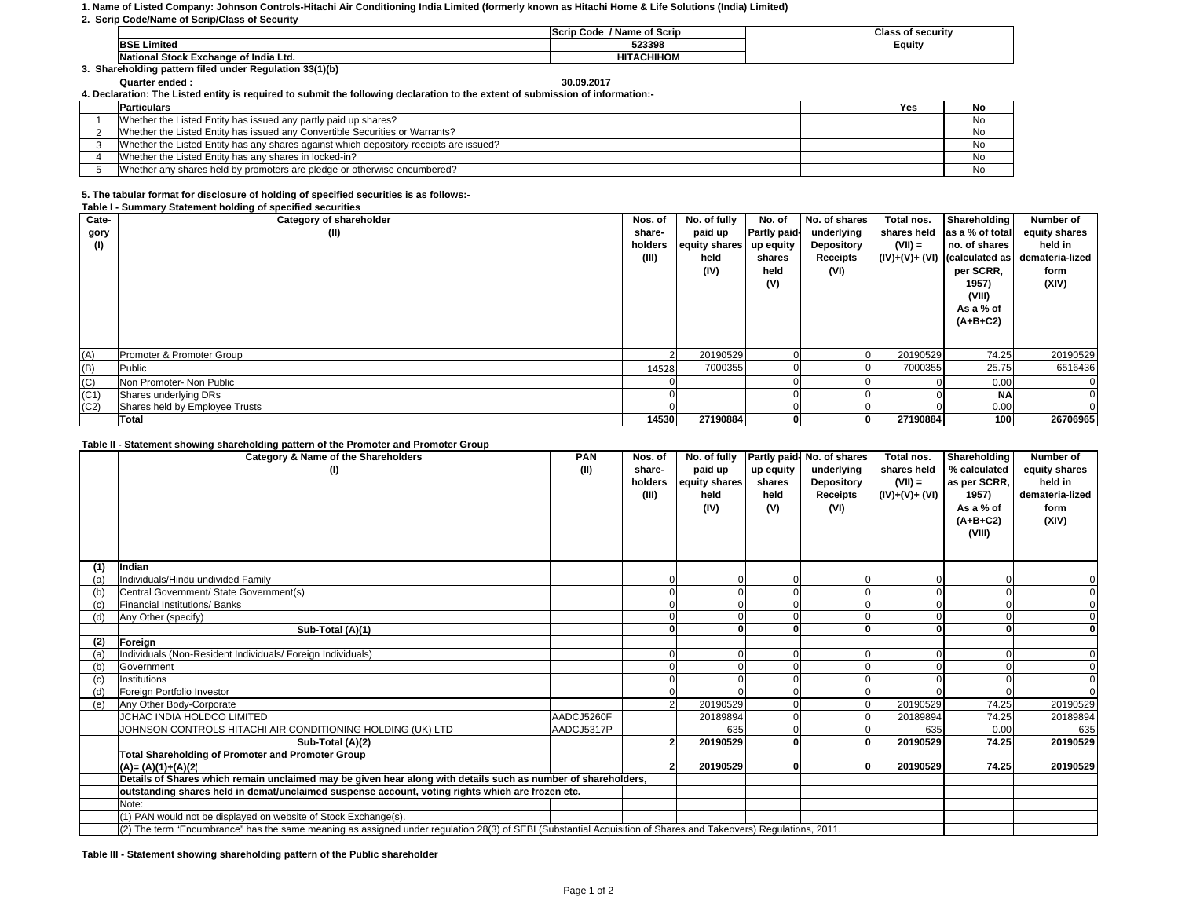## **1. Name of Listed Company: Johnson Controls-Hitachi Air Conditioning India Limited (formerly known as Hitachi Home & Life Solutions (India) Limited)**

**2. Scrip Code/Name of Scrip/Class of Security**

|                                                      | / Name of Scrip<br>Scrip Code |        |  |  |  |  |  |  |  |
|------------------------------------------------------|-------------------------------|--------|--|--|--|--|--|--|--|
| <b>BSE Limited</b>                                   | 523398                        | Equity |  |  |  |  |  |  |  |
| l Stock Exchange of India Ltd.<br>National           | <b>CHIHOM</b>                 |        |  |  |  |  |  |  |  |
| Shareholding pattern filed under Regulation 33(1)(b) |                               |        |  |  |  |  |  |  |  |

**Quarter ended : 30.09.2017**30.09.2017

**4. Declaration: The Listed entity is required to submit the following declaration to the extent of submission of information:-**

| <b>Particulars</b>                                                                     | Yes | No |
|----------------------------------------------------------------------------------------|-----|----|
| Whether the Listed Entity has issued any partly paid up shares?                        |     | No |
| Whether the Listed Entity has issued any Convertible Securities or Warrants?           |     | No |
| Whether the Listed Entity has any shares against which depository receipts are issued? |     | No |
| Whether the Listed Entity has any shares in locked-in?                                 |     | No |
| Whether any shares held by promoters are pledge or otherwise encumbered?               |     | No |

## **5. The tabular format for disclosure of holding of specified securities is as follows:-**

|                    | Table I - Summary Statement holding of specified securities |         |               |                     |               |                |                 |                 |  |  |  |
|--------------------|-------------------------------------------------------------|---------|---------------|---------------------|---------------|----------------|-----------------|-----------------|--|--|--|
| Cate-              | Category of shareholder                                     | Nos. of | No. of fully  | No. of              | No. of shares | Total nos.     | Shareholding    | Number of       |  |  |  |
| gory               | (II)                                                        | share-  | paid up       | <b>Partly paid-</b> | underlying    | shares held    | as a % of total | equity shares   |  |  |  |
| (1)                |                                                             | holders | equity shares | up equity           | Depository    | $(VII) =$      | no. of shares   | held in         |  |  |  |
|                    |                                                             | (III)   | held          | shares              | Receipts      | (IV)+(V)+ (VI) | (calculated as  | demateria-lized |  |  |  |
|                    |                                                             |         | (IV)          | held                | (VI)          |                | per SCRR,       | form            |  |  |  |
|                    |                                                             |         |               | (V)                 |               |                | 1957)           | (XIV)           |  |  |  |
|                    |                                                             |         |               |                     |               |                | (VIII)          |                 |  |  |  |
|                    |                                                             |         |               |                     |               |                | As a % of       |                 |  |  |  |
|                    |                                                             |         |               |                     |               |                | $(A+B+C2)$      |                 |  |  |  |
|                    |                                                             |         |               |                     |               |                |                 |                 |  |  |  |
| (A)                | Promoter & Promoter Group                                   |         | 20190529      |                     |               | 20190529       | 74.25           | 20190529        |  |  |  |
| (B)                | Public                                                      | 14528   | 7000355       |                     |               | 7000355        | 25.75           | 6516436         |  |  |  |
|                    | Non Promoter- Non Public                                    |         |               |                     |               |                | 0.00            |                 |  |  |  |
| $\frac{(C)}{(C1)}$ | Shares underlying DRs                                       |         |               |                     |               |                | <b>NA</b>       |                 |  |  |  |
| (C2)               | Shares held by Employee Trusts                              |         |               |                     |               |                | 0.00            |                 |  |  |  |
|                    | Total                                                       | 14530   | 27190884      | 01                  | 0             | 27190884       | 100             | 26706965        |  |  |  |

## **Table II - Statement showing shareholding pattern of the Promoter and Promoter Group**

|     | Category & Name of the Shareholders                                                                                                                             | <b>PAN</b> | Nos. of | No. of fully  |           | Partly paid- No. of shares | Total nos.     | Shareholding | <b>Number of</b> |
|-----|-----------------------------------------------------------------------------------------------------------------------------------------------------------------|------------|---------|---------------|-----------|----------------------------|----------------|--------------|------------------|
|     | (1)                                                                                                                                                             | (II)       | share-  | paid up       | up equity | underlying                 | shares held    | % calculated | equity shares    |
|     |                                                                                                                                                                 |            | holders | equity shares | shares    | <b>Depository</b>          | $(VII) =$      | as per SCRR, | held in          |
|     |                                                                                                                                                                 |            | (III)   | held          | held      | Receipts                   | (IV)+(V)+ (VI) | 1957)        | demateria-lized  |
|     |                                                                                                                                                                 |            |         | (IV)          | (V)       | (VI)                       |                | As a % of    | form             |
|     |                                                                                                                                                                 |            |         |               |           |                            |                | $(A+B+C2)$   | (XIV)            |
|     |                                                                                                                                                                 |            |         |               |           |                            |                | (VIII)       |                  |
|     |                                                                                                                                                                 |            |         |               |           |                            |                |              |                  |
| (1) | Indian                                                                                                                                                          |            |         |               |           |                            |                |              |                  |
| (a) | Individuals/Hindu undivided Family                                                                                                                              |            |         |               |           |                            |                |              |                  |
| (b) | Central Government/ State Government(s)                                                                                                                         |            |         |               |           |                            |                |              |                  |
| (c) | Financial Institutions/ Banks                                                                                                                                   |            |         |               |           |                            |                |              |                  |
| (d) | Any Other (specify)                                                                                                                                             |            |         |               |           |                            |                |              |                  |
|     | Sub-Total (A)(1)                                                                                                                                                |            |         |               | $\Omega$  |                            |                | $\mathbf{0}$ |                  |
| (2) | Foreign                                                                                                                                                         |            |         |               |           |                            |                |              |                  |
| (a) | Individuals (Non-Resident Individuals/ Foreign Individuals)                                                                                                     |            |         |               |           |                            |                |              |                  |
| (b) | Government                                                                                                                                                      |            |         |               |           |                            |                |              |                  |
| (c) | Institutions                                                                                                                                                    |            |         |               | $\Omega$  |                            |                |              |                  |
| (d) | Foreign Portfolio Investor                                                                                                                                      |            |         |               |           |                            |                |              |                  |
| (e) | Any Other Body-Corporate                                                                                                                                        |            |         | 20190529      |           |                            | 20190529       | 74.25        | 20190529         |
|     | JCHAC INDIA HOLDCO LIMITED                                                                                                                                      | AADCJ5260F |         | 20189894      |           |                            | 20189894       | 74.25        | 20189894         |
|     | JOHNSON CONTROLS HITACHI AIR CONDITIONING HOLDING (UK) LTD                                                                                                      | AADCJ5317P |         | 635           |           |                            | 635            | 0.00         | 635              |
|     | Sub-Total (A)(2)                                                                                                                                                |            |         | 20190529      | $\Omega$  |                            | 20190529       | 74.25        | 20190529         |
|     | <b>Total Shareholding of Promoter and Promoter Group</b>                                                                                                        |            |         |               |           |                            |                |              |                  |
|     | $(A)=(A)(1)+(A)(2)$                                                                                                                                             |            |         | 20190529      |           |                            | 20190529       | 74.25        | 20190529         |
|     | Details of Shares which remain unclaimed may be given hear along with details such as number of shareholders,                                                   |            |         |               |           |                            |                |              |                  |
|     | outstanding shares held in demat/unclaimed suspense account, voting rights which are frozen etc.                                                                |            |         |               |           |                            |                |              |                  |
|     | Note:                                                                                                                                                           |            |         |               |           |                            |                |              |                  |
|     | (1) PAN would not be displayed on website of Stock Exchange(s).                                                                                                 |            |         |               |           |                            |                |              |                  |
|     | (2) The term "Encumbrance" has the same meaning as assigned under regulation 28(3) of SEBI (Substantial Acquisition of Shares and Takeovers) Regulations, 2011. |            |         |               |           |                            |                |              |                  |

**Table III - Statement showing shareholding pattern of the Public shareholder**